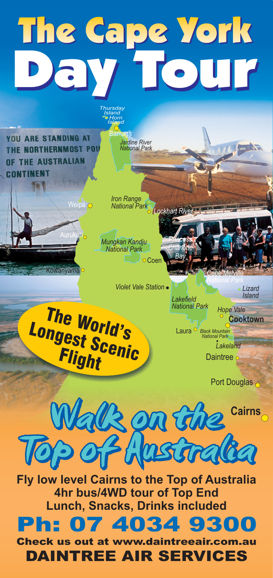## The Cape York Day Tour

YOU ARE STANDING AT THE NORTHERNMOST PO THE AUSTRALIAN **CONTINENT** 

*Iron Range National Park Lockhart River*

*Jardine River National Park*

<u>lardi</u>

*Thursday Island Horn Island*

*Mungkan Kandju National Park*  $\Box$   $\Box$   $\Box$   $\Box$ 

*Violet Vale Station*

The World's Longest **Scenic Flight** 

Weipa O

Ìo

 $\overline{\phantom{a}}$ 

Kowanyama

*Island Lakefield National Park*

*Princess Charlotte Bay*

*Lizard*

**Cooktown**

Laura<sup>O</sup> Black M *National Park Lakeland*

*Cape Melville*

*National Park*

*Hope Vale*

port Douglas



**Fly low level Cairns to the Top of Australia 4hr bus/4WD tour of Top End Lunch, Snacks, Drinks included**



*Check us out at www.daintreeair.com.au DAINTREE AIR SERVICES*